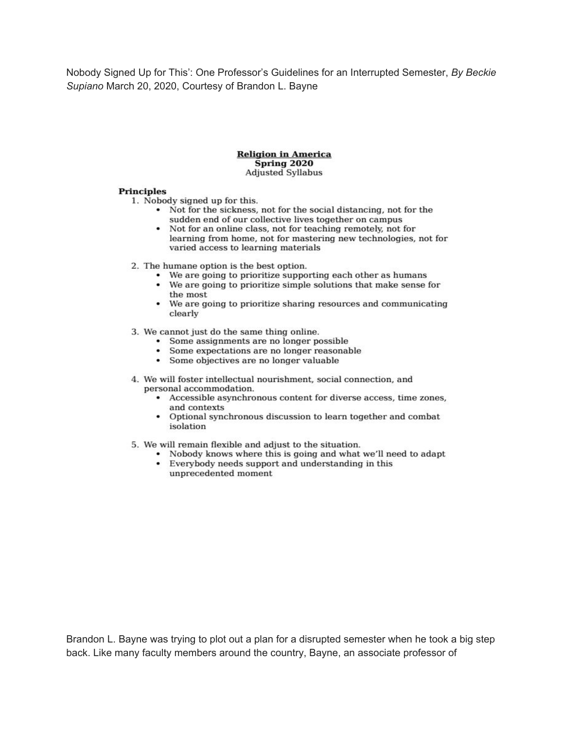Nobody Signed Up for This': One Professor's Guidelines for an Interrupted Semester, By Beckie Supiano March 20, 2020, Courtesy of Brandon L. Bayne

## **Religion in America** Spring 2020 **Adjusted Syllabus**

## **Principles**

- 1. Nobody signed up for this.
	- Not for the sickness, not for the social distancing, not for the sudden end of our collective lives together on campus
	- Not for an online class, not for teaching remotely, not for learning from home, not for mastering new technologies, not for varied access to learning materials
- 2. The humane option is the best option.
	- We are going to prioritize supporting each other as humans
	- We are going to prioritize simple solutions that make sense for the most
	- We are going to prioritize sharing resources and communicating clearly
- 3. We cannot just do the same thing online.
	- Some assignments are no longer possible
	- Some expectations are no longer reasonable
	- Some objectives are no longer valuable
- 4. We will foster intellectual nourishment, social connection, and personal accommodation.
	- Accessible asynchronous content for diverse access, time zones, and contexts
	- Optional synchronous discussion to learn together and combat isolation
- 5. We will remain flexible and adjust to the situation.
	- Nobody knows where this is going and what we'll need to adapt
	- Everybody needs support and understanding in this unprecedented moment

Brandon L. Bayne was trying to plot out a plan for a disrupted semester when he took a big step back. Like many faculty members around the country, Bayne, an associate professor of